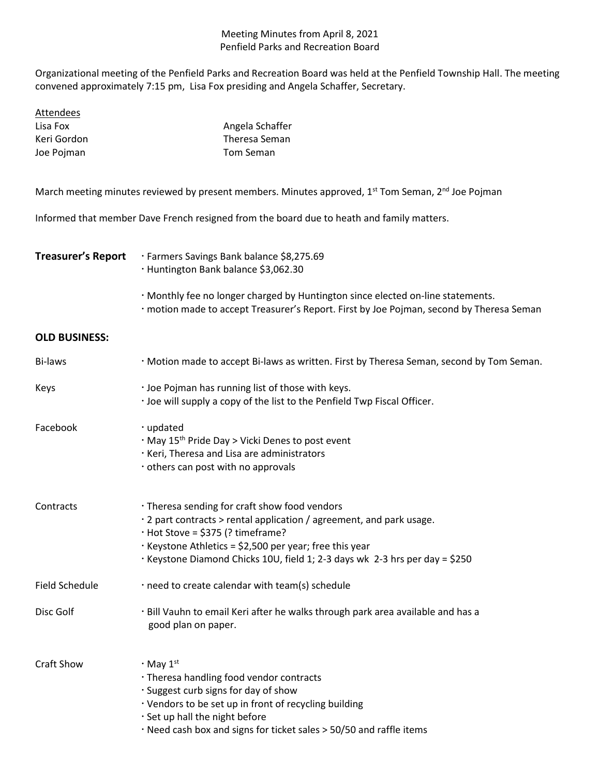## Meeting Minutes from April 8, 2021 Penfield Parks and Recreation Board

Organizational meeting of the Penfield Parks and Recreation Board was held at the Penfield Township Hall. The meeting convened approximately 7:15 pm, Lisa Fox presiding and Angela Schaffer, Secretary.

| Attendees   |                 |
|-------------|-----------------|
| Lisa Fox    | Angela Schaffer |
| Keri Gordon | Theresa Seman   |
| Joe Pojman  | Tom Seman       |

March meeting minutes reviewed by present members. Minutes approved, 1<sup>st</sup> Tom Seman, 2<sup>nd</sup> Joe Pojman

Informed that member Dave French resigned from the board due to heath and family matters.

| Treasurer's Report | · Farmers Savings Bank balance \$8,275.69<br>· Huntington Bank balance \$3,062.30                                                                                           |
|--------------------|-----------------------------------------------------------------------------------------------------------------------------------------------------------------------------|
|                    | . Monthly fee no longer charged by Huntington since elected on-line statements.<br>. motion made to accept Treasurer's Report. First by Joe Pojman, second by Theresa Seman |

## **OLD BUSINESS:**

| Bi-laws               | · Motion made to accept Bi-laws as written. First by Theresa Seman, second by Tom Seman.                                                                                                                                                                                                                   |  |  |
|-----------------------|------------------------------------------------------------------------------------------------------------------------------------------------------------------------------------------------------------------------------------------------------------------------------------------------------------|--|--|
| Keys                  | · Joe Pojman has running list of those with keys.<br>. Joe will supply a copy of the list to the Penfield Twp Fiscal Officer.                                                                                                                                                                              |  |  |
| Facebook              | · updated<br>· May 15 <sup>th</sup> Pride Day > Vicki Denes to post event<br>· Keri, Theresa and Lisa are administrators<br>others can post with no approvals                                                                                                                                              |  |  |
| Contracts             | · Theresa sending for craft show food vendors<br>· 2 part contracts > rental application / agreement, and park usage.<br>$\cdot$ Hot Stove = \$375 (? timeframe?<br>· Keystone Athletics = \$2,500 per year; free this year<br>· Keystone Diamond Chicks 10U, field 1; 2-3 days wk 2-3 hrs per day = \$250 |  |  |
| <b>Field Schedule</b> | · need to create calendar with team(s) schedule                                                                                                                                                                                                                                                            |  |  |
| Disc Golf             | · Bill Vauhn to email Keri after he walks through park area available and has a<br>good plan on paper.                                                                                                                                                                                                     |  |  |
| <b>Craft Show</b>     | $\cdot$ May $1^{\text{st}}$<br>. Theresa handling food vendor contracts<br>. Suggest curb signs for day of show<br>· Vendors to be set up in front of recycling building<br>· Set up hall the night before<br>· Need cash box and signs for ticket sales > 50/50 and raffle items                          |  |  |